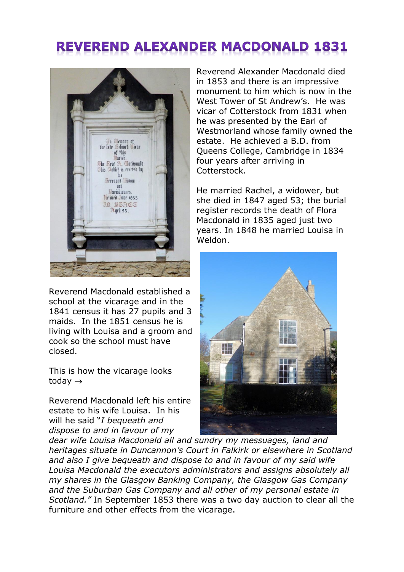## **REVEREND ALEXANDER MACDONALD 1831**



Reverend Macdonald established a school at the vicarage and in the 1841 census it has 27 pupils and 3 maids. In the 1851 census he is living with Louisa and a groom and cook so the school must have closed.

This is how the vicarage looks today  $\rightarrow$ 

Reverend Macdonald left his entire estate to his wife Louisa. In his will he said "*I bequeath and dispose to and in favour of my* 

Reverend Alexander Macdonald died in 1853 and there is an impressive monument to him which is now in the West Tower of St Andrew's. He was vicar of Cotterstock from 1831 when he was presented by the Earl of Westmorland whose family owned the estate. He achieved a B.D. from Queens College, Cambridge in 1834 four years after arriving in Cotterstock.

He married Rachel, a widower, but she died in 1847 aged 53; the burial register records the death of Flora Macdonald in 1835 aged just two years. In 1848 he married Louisa in Weldon.



*dear wife Louisa Macdonald all and sundry my messuages, land and heritages situate in Duncannon's Court in Falkirk or elsewhere in Scotland and also I give bequeath and dispose to and in favour of my said wife Louisa Macdonald the executors administrators and assigns absolutely all my shares in the Glasgow Banking Company, the Glasgow Gas Company and the Suburban Gas Company and all other of my personal estate in Scotland."* In September 1853 there was a two day auction to clear all the furniture and other effects from the vicarage.